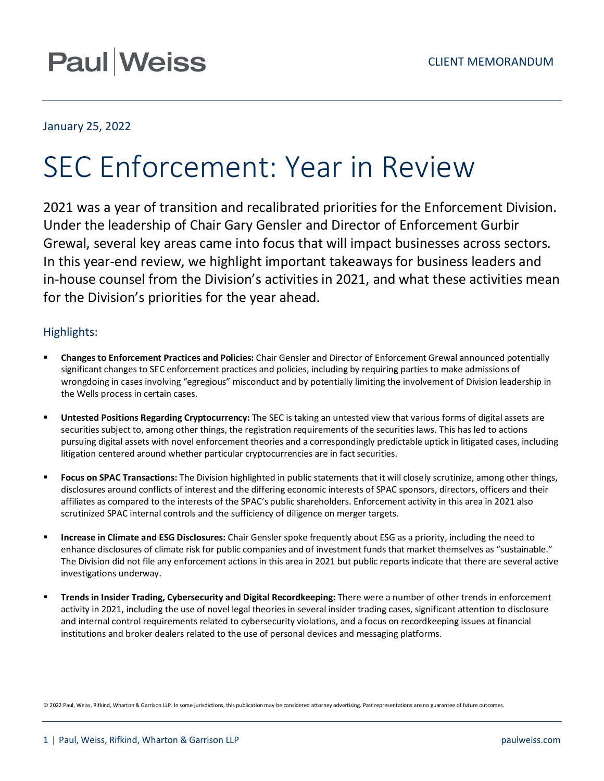# **Paul Weiss**

## January 25, 2022

# SEC Enforcement: Year in Review

2021 was a year of transition and recalibrated priorities for the Enforcement Division. Under the leadership of Chair Gary Gensler and Director of Enforcement Gurbir Grewal, several key areas came into focus that will impact businesses across sectors. In this year-end review, we highlight important takeaways for business leaders and in-house counsel from the Division's activities in 2021, and what these activities mean for the Division's priorities for the year ahead.

# Highlights:

- **Changes to Enforcement Practices and Policies:** Chair Gensler and Director of Enforcement Grewal announced potentially significant changes to SEC enforcement practices and policies, including by requiring parties to make admissions of wrongdoing in cases involving "egregious" misconduct and by potentially limiting the involvement of Division leadership in the Wells process in certain cases.
- **Untested Positions Regarding Cryptocurrency:** The SEC is taking an untested view that various forms of digital assets are securities subject to, among other things, the registration requirements of the securities laws. This has led to actions pursuing digital assets with novel enforcement theories and a correspondingly predictable uptick in litigated cases, including litigation centered around whether particular cryptocurrencies are in fact securities.
- **Focus on SPAC Transactions:** The Division highlighted in public statements that it will closely scrutinize, among other things, disclosures around conflicts of interest and the differing economic interests of SPAC sponsors, directors, officers and their affiliates as compared to the interests of the SPAC's public shareholders. Enforcement activity in this area in 2021 also scrutinized SPAC internal controls and the sufficiency of diligence on merger targets.
- **Increase in Climate and ESG Disclosures:** Chair Gensler spoke frequently about ESG as a priority, including the need to enhance disclosures of climate risk for public companies and of investment funds that market themselves as "sustainable." The Division did not file any enforcement actions in this area in 2021 but public reports indicate that there are several active investigations underway.
- **Trends in Insider Trading, Cybersecurity and Digital Recordkeeping:** There were a number of other trends in enforcement activity in 2021, including the use of novel legal theories in several insider trading cases, significant attention to disclosure and internal control requirements related to cybersecurity violations, and a focus on recordkeeping issues at financial institutions and broker dealers related to the use of personal devices and messaging platforms.

© 2022 Paul, Weiss, Rifkind, Wharton & Garrison LLP. In some jurisdictions, this publication may be considered attorney advertising. Past representations are no guarantee of future outcomes.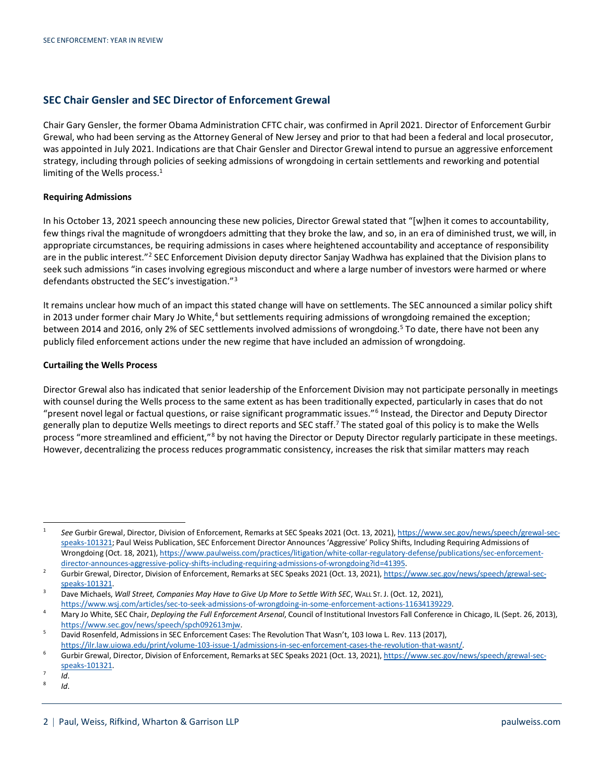### **SEC Chair Gensler and SEC Director of Enforcement Grewal**

Chair Gary Gensler, the former Obama Administration CFTC chair, was confirmed in April 2021. Director of Enforcement Gurbir Grewal, who had been serving as the Attorney General of New Jersey and prior to that had been a federal and local prosecutor, was appointed in July 2021. Indications are that Chair Gensler and Director Grewal intend to pursue an aggressive enforcement strategy, including through policies of seeking admissions of wrongdoing in certain settlements and reworking and potential limiting of the Wells process.<sup>[1](#page-1-0)</sup>

#### **Requiring Admissions**

In his October 13, 2021 speech announcing these new policies, Director Grewal stated that "[w]hen it comes to accountability, few things rival the magnitude of wrongdoers admitting that they broke the law, and so, in an era of diminished trust, we will, in appropriate circumstances, be requiring admissions in cases where heightened accountability and acceptance of responsibility are in the public interest."<sup>[2](#page-1-1)</sup> SEC Enforcement Division deputy director Sanjay Wadhwa has explained that the Division plans to seek such admissions "in cases involving egregious misconduct and where a large number of investors were harmed or where defendants obstructed the SEC's investigation."[3](#page-1-2)

It remains unclear how much of an impact this stated change will have on settlements. The SEC announced a similar policy shift in 2013 under former chair Mary Jo White, $4$  but settlements requiring admissions of wrongdoing remained the exception; between 2014 and 2016, only 2% of SEC settlements involved admissions of wrongdoing.<sup>[5](#page-1-4)</sup> To date, there have not been any publicly filed enforcement actions under the new regime that have included an admission of wrongdoing.

#### **Curtailing the Wells Process**

Director Grewal also has indicated that senior leadership of the Enforcement Division may not participate personally in meetings with counsel during the Wells process to the same extent as has been traditionally expected, particularly in cases that do not "present novel legal or factual questions, or raise significant programmatic issues."[6](#page-1-5) Instead, the Director and Deputy Director generally plan to deputize Wells meetings to direct reports and SEC staff.<sup>[7](#page-1-6)</sup> The stated goal of this policy is to make the Wells process "more streamlined and efficient,"<sup>[8](#page-1-7)</sup> by not having the Director or Deputy Director regularly participate in these meetings. However, decentralizing the process reduces programmatic consistency, increases the risk that similar matters may reach

<sup>8</sup> *Id*.

<span id="page-1-0"></span><sup>1</sup> *See* Gurbir Grewal, Director, Division of Enforcement, Remarks at SEC Speaks 2021 (Oct. 13, 2021)[, https://www.sec.gov/news/speech/grewal-sec](https://www.sec.gov/news/speech/grewal-sec-speaks-101321)[speaks-101321;](https://www.sec.gov/news/speech/grewal-sec-speaks-101321) Paul Weiss Publication, SEC Enforcement Director Announces 'Aggressive' Policy Shifts, Including Requiring Admissions of Wrongdoing (Oct. 18, 2021)[, https://www.paulweiss.com/practices/litigation/white-collar-regulatory-defense/publications/sec-enforcement](https://www.paulweiss.com/practices/litigation/white-collar-regulatory-defense/publications/sec-enforcement-director-announces-aggressive-policy-shifts-including-requiring-admissions-of-wrongdoing?id=41395)[director-announces-aggressive-policy-shifts-including-requiring-admissions-of-wrongdoing?id=41395.](https://www.paulweiss.com/practices/litigation/white-collar-regulatory-defense/publications/sec-enforcement-director-announces-aggressive-policy-shifts-including-requiring-admissions-of-wrongdoing?id=41395)

<span id="page-1-1"></span><sup>&</sup>lt;sup>2</sup> Gurbir Grewal, Director, Division of Enforcement, Remarks at SEC Speaks 2021 (Oct. 13, 2021)[, https://www.sec.gov/news/speech/grewal-sec](https://www.sec.gov/news/speech/grewal-sec-speaks-101321)[speaks-101321.](https://www.sec.gov/news/speech/grewal-sec-speaks-101321)

<span id="page-1-2"></span><sup>&</sup>lt;sup>3</sup> Dave Michaels, *Wall Street, Companies May Have to Give Up More to Settle With SEC*, WALL ST. J. (Oct. 12, 2021), [https://www.wsj.com/articles/sec-to-seek-admissions-of-wrongdoing-in-some-enforcement-actions-11634139229.](https://www.wsj.com/articles/sec-to-seek-admissions-of-wrongdoing-in-some-enforcement-actions-11634139229)

<span id="page-1-3"></span><sup>4</sup> Mary Jo White, SEC Chair, *Deploying the Full Enforcement Arsenal*, Council of Institutional Investors Fall Conference in Chicago, IL (Sept. 26, 2013), [https://www.sec.gov/news/speech/spch092613mjw.](https://www.sec.gov/news/speech/spch092613mjw)

<span id="page-1-4"></span><sup>&</sup>lt;sup>5</sup> David Rosenfeld, Admissions in SEC Enforcement Cases: The Revolution That Wasn't, 103 Iowa L. Rev. 113 (2017), [https://ilr.law.uiowa.edu/print/volume-103-issue-1/admissions-in-sec-enforcement-cases-the-revolution-that-wasnt/.](https://ilr.law.uiowa.edu/print/volume-103-issue-1/admissions-in-sec-enforcement-cases-the-revolution-that-wasnt/)

<span id="page-1-5"></span><sup>6</sup> Gurbir Grewal, Director, Division of Enforcement, Remarks at SEC Speaks 2021 (Oct. 13, 2021)[, https://www.sec.gov/news/speech/grewal-sec](https://www.sec.gov/news/speech/grewal-sec-speaks-101321)[speaks-101321.](https://www.sec.gov/news/speech/grewal-sec-speaks-101321)

<span id="page-1-7"></span><span id="page-1-6"></span> $\frac{7}{8}$  *Id.*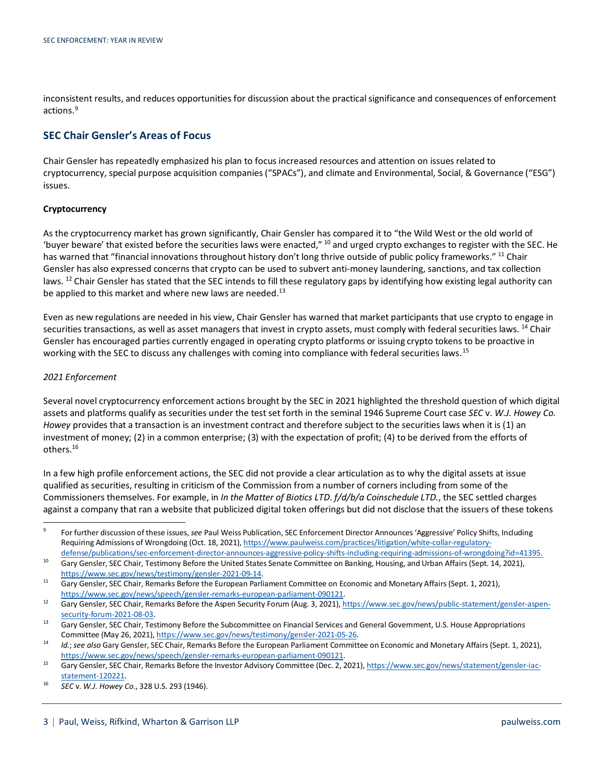inconsistent results, and reduces opportunities for discussion about the practical significance and consequences of enforcement actions. [9](#page-2-0)

## **SEC Chair Gensler's Areas of Focus**

Chair Gensler has repeatedly emphasized his plan to focus increased resources and attention on issues related to cryptocurrency, special purpose acquisition companies ("SPACs"), and climate and Environmental, Social, & Governance ("ESG") issues.

#### **Cryptocurrency**

As the cryptocurrency market has grown significantly, Chair Gensler has compared it to "the Wild West or the old world of 'buyer beware' that existed before the securities laws were enacted," [10](#page-2-1) and urged crypto exchanges to register with the SEC. He has warned that "financial innovations throughout history don't long thrive outside of public policy frameworks." <sup>[11](#page-2-2)</sup> Chair Gensler has also expressed concerns that crypto can be used to subvert anti-money laundering, sanctions, and tax collection laws. <sup>[12](#page-2-3)</sup> Chair Gensler has stated that the SEC intends to fill these regulatory gaps by identifying how existing legal authority can be applied to this market and where new laws are needed. $^{13}$  $^{13}$  $^{13}$ 

Even as new regulations are needed in his view, Chair Gensler has warned that market participants that use crypto to engage in securities transactions, as well as asset managers that invest in crypto assets, must comply with federal securities laws. <sup>[14](#page-2-5)</sup> Chair Gensler has encouraged parties currently engaged in operating crypto platforms or issuing crypto tokens to be proactive in working with the SEC to discuss any challenges with coming into compliance with federal securities laws. <sup>[15](#page-2-6)</sup>

#### *2021 Enforcement*

Several novel cryptocurrency enforcement actions brought by the SEC in 2021 highlighted the threshold question of which digital assets and platforms qualify as securities under the test set forth in the seminal 1946 Supreme Court case *SEC* v. *W.J. Howey Co. Howey* provides that a transaction is an investment contract and therefore subject to the securities laws when it is (1) an investment of money; (2) in a common enterprise; (3) with the expectation of profit; (4) to be derived from the efforts of others. [16](#page-2-7)

In a few high profile enforcement actions, the SEC did not provide a clear articulation as to why the digital assets at issue qualified as securities, resulting in criticism of the Commission from a number of corners including from some of the Commissioners themselves. For example, in *In the Matter of Biotics LTD*. *f/d/b/a Coinschedule LTD.*, the SEC settled charges against a company that ran a website that publicized digital token offerings but did not disclose that the issuers of these tokens

<span id="page-2-0"></span><sup>9</sup> For further discussion of these issues, *see* Paul Weiss Publication, SEC Enforcement Director Announces 'Aggressive' Policy Shifts, Including Requiring Admissions of Wrongdoing (Oct. 18, 2021)[, https://www.paulweiss.com/practices/litigation/white-collar-regulatory](https://www.paulweiss.com/practices/litigation/white-collar-regulatory-defense/publications/sec-enforcement-director-announces-aggressive-policy-shifts-including-requiring-admissions-of-wrongdoing?id=41395)[defense/publications/sec-enforcement-director-announces-aggressive-policy-shifts-including-requiring-admissions-of-wrongdoing?id=41395.](https://www.paulweiss.com/practices/litigation/white-collar-regulatory-defense/publications/sec-enforcement-director-announces-aggressive-policy-shifts-including-requiring-admissions-of-wrongdoing?id=41395)

<span id="page-2-1"></span><sup>&</sup>lt;sup>10</sup> Gary Gensler, SEC Chair, Testimony Before the United States Senate Committee on Banking, Housing, and Urban Affairs (Sept. 14, 2021),

<span id="page-2-2"></span>[https://www.sec.gov/news/testimony/gensler-2021-09-14.](https://www.sec.gov/news/testimony/gensler-2021-09-14)<br><sup>11</sup> Gary Gensler, SEC Chair, Remarks Before the European Parliament Committee on Economic and Monetary Affairs (Sept. 1, 2021), [https://www.sec.gov/news/speech/gensler-remarks-european-parliament-090121.](https://www.sec.gov/news/speech/gensler-remarks-european-parliament-090121)

<span id="page-2-3"></span><sup>12</sup> Gary Gensler, SEC Chair, Remarks Before the Aspen Security Forum (Aug. 3, 2021)[, https://www.sec.gov/news/public-statement/gensler-aspen](https://www.sec.gov/news/public-statement/gensler-aspen-security-forum-2021-08-03)[security-forum-2021-08-03.](https://www.sec.gov/news/public-statement/gensler-aspen-security-forum-2021-08-03)

<span id="page-2-4"></span><sup>&</sup>lt;sup>13</sup> Gary Gensler, SEC Chair, Testimony Before the Subcommittee on Financial Services and General Government, U.S. House Appropriations Committee (May 26, 2021), https://www.sec.gov/news/testimony/gensler-2021-05-26.<br>Id.; see also Gary Gensler, SEC Chair, Remarks Before the European Parliament Committee on Economic and Monetary Affairs (Sept. 1, 2021),

<span id="page-2-5"></span>[https://www.sec.gov/news/speech/gensler-remarks-european-parliament-090121.](https://www.sec.gov/news/speech/gensler-remarks-european-parliament-090121)

<span id="page-2-6"></span><sup>15</sup> Gary Gensler, SEC Chair, Remarks Before the Investor Advisory Committee (Dec. 2, 2021)[, https://www.sec.gov/news/statement/gensler-iac](https://www.sec.gov/news/statement/gensler-iac-statement-120221)[statement-120221.](https://www.sec.gov/news/statement/gensler-iac-statement-120221)

<span id="page-2-7"></span><sup>16</sup> *SEC* v. *W.J. Howey Co*., 328 U.S. 293 (1946).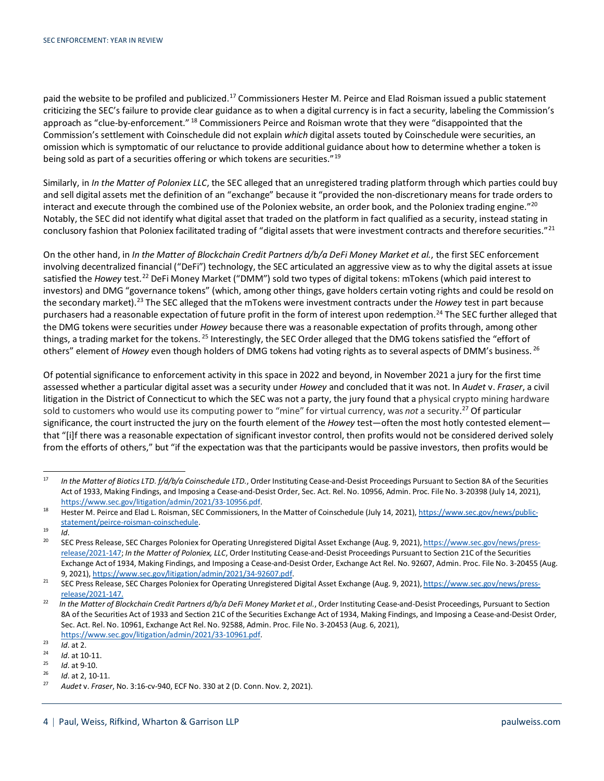paid the website to be profiled and publicized.<sup>[17](#page-3-0)</sup> Commissioners Hester M. Peirce and Elad Roisman issued a public statement criticizing the SEC's failure to provide clear guidance as to when a digital currency is in fact a security, labeling the Commission's approach as "clue-by-enforcement." <sup>[18](#page-3-1)</sup> Commissioners Peirce and Roisman wrote that they were "disappointed that the Commission's settlement with Coinschedule did not explain *which* digital assets touted by Coinschedule were securities, an omission which is symptomatic of our reluctance to provide additional guidance about how to determine whether a token is being sold as part of a securities offering or which tokens are securities."<sup>[19](#page-3-2)</sup>

Similarly, in *In the Matter of Poloniex LLC*, the SEC alleged that an unregistered trading platform through which parties could buy and sell digital assets met the definition of an "exchange" because it "provided the non-discretionary means for trade orders to interact and execute through the combined use of the Poloniex website, an order book, and the Poloniex trading engine."[20](#page-3-3) Notably, the SEC did not identify what digital asset that traded on the platform in fact qualified as a security, instead stating in conclusory fashion that Poloniex facilitated trading of "digital assets that were investment contracts and therefore securities."<sup>[21](#page-3-4)</sup>

On the other hand, in *In the Matter of Blockchain Credit Partners d/b/a DeFi Money Market et al.*, the first SEC enforcement involving decentralized financial ("DeFi") technology, the SEC articulated an aggressive view as to why the digital assets at issue satisfied the *Howey* test.<sup>[22](#page-3-5)</sup> DeFi Money Market ("DMM") sold two types of digital tokens: mTokens (which paid interest to investors) and DMG "governance tokens" (which, among other things, gave holders certain voting rights and could be resold on the secondary market).[23](#page-3-6) The SEC alleged that the mTokens were investment contracts under the *Howey* test in part because purchasers had a reasonable expectation of future profit in the form of interest upon redemption. [24](#page-3-7) The SEC further alleged that the DMG tokens were securities under *Howey* because there was a reasonable expectation of profits through, among other things, a trading market for the tokens. <sup>[25](#page-3-8)</sup> Interestingly, the SEC Order alleged that the DMG tokens satisfied the "effort of others" element of *Howey* even though holders of DMG tokens had voting rights as to several aspects of DMM's business. [26](#page-3-9)

Of potential significance to enforcement activity in this space in 2022 and beyond, in November 2021 a jury for the first time assessed whether a particular digital asset was a security under *Howey* and concluded that it was not. In *Audet* v. *Fraser*, a civil litigation in the District of Connecticut to which the SEC was not a party, the jury found that a physical crypto mining hardware sold to customers who would use its computing power to "mine" for virtual currency, was *not* a security. [27](#page-3-10) Of particular significance, the court instructed the jury on the fourth element of the *Howey* test—often the most hotly contested element that "[i]f there was a reasonable expectation of significant investor control, then profits would not be considered derived solely from the efforts of others," but "if the expectation was that the participants would be passive investors, then profits would be

<span id="page-3-10"></span><span id="page-3-9"></span> $\frac{26}{27}$  *Id.* at 2, 10-11.

<span id="page-3-0"></span><sup>&</sup>lt;sup>17</sup> In the Matter of Biotics LTD. f/d/b/a Coinschedule LTD., Order Instituting Cease-and-Desist Proceedings Pursuant to Section 8A of the Securities Act of 1933, Making Findings, and Imposing a Cease-and-Desist Order, Sec. Act. Rel. No. 10956, Admin. Proc. File No. 3-20398 (July 14, 2021), [https://www.sec.gov/litigation/admin/2021/33-10956.pdf.](https://www.sec.gov/litigation/admin/2021/33-10956.pdf)

<span id="page-3-1"></span><sup>18</sup> Hester M. Peirce and Elad L. Roisman, SEC Commissioners, In the Matter of Coinschedule (July 14, 2021)[, https://www.sec.gov/news/public](https://www.sec.gov/news/public-statement/peirce-roisman-coinschedule)[statement/peirce-roisman-coinschedule.](https://www.sec.gov/news/public-statement/peirce-roisman-coinschedule)

<span id="page-3-2"></span> $\frac{19}{20}$  *Id*.

<span id="page-3-3"></span>SEC Press Release, SEC Charges Poloniex for Operating Unregistered Digital Asset Exchange (Aug. 9, 2021)[, https://www.sec.gov/news/press](https://www.sec.gov/news/press-release/2021-147)[release/2021-147;](https://www.sec.gov/news/press-release/2021-147) *In the Matter of Poloniex, LLC*, Order Instituting Cease-and-Desist Proceedings Pursuant to Section 21C of the Securities Exchange Act of 1934, Making Findings, and Imposing a Cease-and-Desist Order, Exchange Act Rel. No. 92607, Admin. Proc. File No. 3-20455 (Aug. 9, 2021)[, https://www.sec.gov/litigation/admin/2021/34-92607.pdf.](https://www.sec.gov/litigation/admin/2021/34-92607.pdf)

<span id="page-3-4"></span><sup>&</sup>lt;sup>21</sup> SEC Press Release, SEC Charges Poloniex for Operating Unregistered Digital Asset Exchange (Aug. 9, 2021)[, https://www.sec.gov/news/press](https://www.sec.gov/news/press-release/2021-147)[release/2021-147.](https://www.sec.gov/news/press-release/2021-147)

<span id="page-3-5"></span><sup>&</sup>lt;sup>22</sup> In the Matter of Blockchain Credit Partners d/b/a DeFi Money Market et al., Order Instituting Cease-and-Desist Proceedings, Pursuant to Section 8A of the Securities Act of 1933 and Section 21C of the Securities Exchange Act of 1934, Making Findings, and Imposing a Cease-and-Desist Order, Sec. Act. Rel. No. 10961, Exchange Act Rel. No. 92588, Admin. Proc. File No. 3-20453 (Aug. 6, 2021), [https://www.sec.gov/litigation/admin/2021/33-10961.pdf.](https://www.sec.gov/litigation/admin/2021/33-10961.pdf)

<span id="page-3-6"></span> $\frac{23}{10}$ . at 2.

<span id="page-3-7"></span> $\frac{24}{25}$  *Id.* at 10-11.

<span id="page-3-8"></span> $\frac{25}{26}$  *Id.* at 9-10.

<sup>27</sup> *Audet* v. *Fraser*, No. 3:16-cv-940, ECF No. 330 at 2 (D. Conn. Nov. 2, 2021).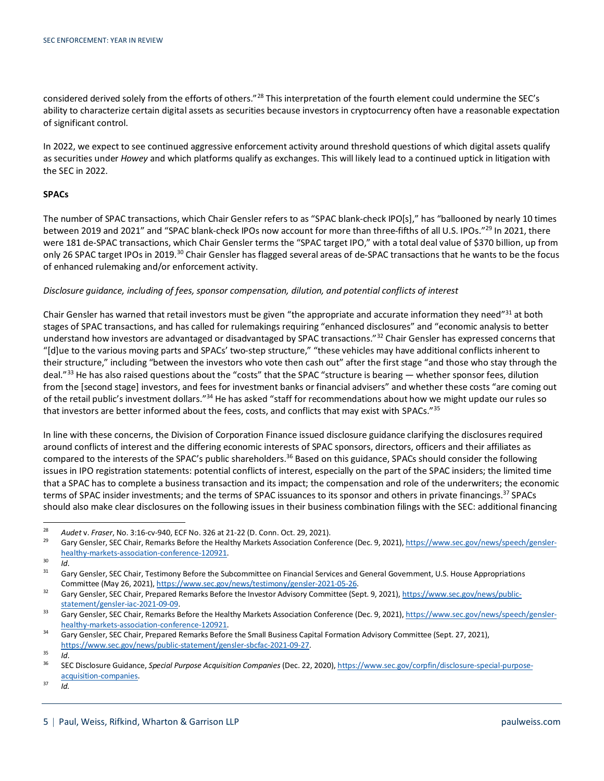considered derived solely from the efforts of others."[28](#page-4-0) This interpretation of the fourth element could undermine the SEC's ability to characterize certain digital assets as securities because investors in cryptocurrency often have a reasonable expectation of significant control.

In 2022, we expect to see continued aggressive enforcement activity around threshold questions of which digital assets qualify as securities under *Howey* and which platforms qualify as exchanges. This will likely lead to a continued uptick in litigation with the SEC in 2022.

#### **SPACs**

The number of SPAC transactions, which Chair Gensler refers to as "SPAC blank-check IPO[s]," has "ballooned by nearly 10 times between 2019 and 2021" and "SPAC blank-check IPOs now account for more than three-fifths of all U.S. IPOs."<sup>29</sup> In 2021, there were 181 de-SPAC transactions, which Chair Gensler terms the "SPAC target IPO," with a total deal value of \$370 billion, up from only 26 SPAC target IPOs in 2019.<sup>[30](#page-4-2)</sup> Chair Gensler has flagged several areas of de-SPAC transactions that he wants to be the focus of enhanced rulemaking and/or enforcement activity.

#### *Disclosure guidance, including of fees, sponsor compensation, dilution, and potential conflicts of interest*

Chair Gensler has warned that retail investors must be given "the appropriate and accurate information they need"<sup>[31](#page-4-3)</sup> at both stages of SPAC transactions, and has called for rulemakings requiring "enhanced disclosures" and "economic analysis to better understand how investors are advantaged or disadvantaged by SPAC transactions."<sup>[32](#page-4-4)</sup> Chair Gensler has expressed concerns that "[d]ue to the various moving parts and SPACs' two-step structure," "these vehicles may have additional conflicts inherent to their structure," including "between the investors who vote then cash out" after the first stage "and those who stay through the deal."<sup>[33](#page-4-5)</sup> He has also raised questions about the "costs" that the SPAC "structure is bearing — whether sponsor fees, dilution from the [second stage] investors, and fees for investment banks or financial advisers" and whether these costs "are coming out of the retail public's investment dollars."<sup>[34](#page-4-6)</sup> He has asked "staff for recommendations about how we might update our rules so that investors are better informed about the fees, costs, and conflicts that may exist with SPACs."[35](#page-4-7)

In line with these concerns, the Division of Corporation Finance issued disclosure guidance clarifying the disclosures required around conflicts of interest and the differing economic interests of SPAC sponsors, directors, officers and their affiliates as compared to the interests of the SPAC's public shareholders.<sup>[36](#page-4-8)</sup> Based on this guidance, SPACs should consider the following issues in IPO registration statements: potential conflicts of interest, especially on the part of the SPAC insiders; the limited time that a SPAC has to complete a business transaction and its impact; the compensation and role of the underwriters; the economic terms of SPAC insider investments; and the terms of SPAC issuances to its sponsor and others in private financings.<sup>37</sup> SPACs should also make clear disclosures on the following issues in their business combination filings with the SEC: additional financing

<span id="page-4-0"></span><sup>28</sup> *Audet* v. *Fraser*, No. 3:16-cv-940, ECF No. 326 at 21-22 (D. Conn. Oct. 29, 2021).

<span id="page-4-1"></span>Gary Gensler, SEC Chair, Remarks Before the Healthy Markets Association Conference (Dec. 9, 2021)[, https://www.sec.gov/news/speech/gensler](https://www.sec.gov/news/speech/gensler-healthy-markets-association-conference-120921)[healthy-markets-association-conference-120921.](https://www.sec.gov/news/speech/gensler-healthy-markets-association-conference-120921)

<span id="page-4-3"></span><span id="page-4-2"></span> $rac{30}{31}$  *Id.* 

Gary Gensler, SEC Chair, Testimony Before the Subcommittee on Financial Services and General Government, U.S. House Appropriations Committee (May 26, 2021)[, https://www.sec.gov/news/testimony/gensler-2021-05-26.](https://www.sec.gov/news/testimony/gensler-2021-05-26)

<span id="page-4-4"></span><sup>32</sup> Gary Gensler, SEC Chair, Prepared Remarks Before the Investor Advisory Committee (Sept. 9, 2021)[, https://www.sec.gov/news/public](https://www.sec.gov/news/public-statement/gensler-iac-2021-09-09)[statement/gensler-iac-2021-09-09.](https://www.sec.gov/news/public-statement/gensler-iac-2021-09-09)

<span id="page-4-5"></span><sup>33</sup> Gary Gensler, SEC Chair, Remarks Before the Healthy Markets Association Conference (Dec. 9, 2021)[, https://www.sec.gov/news/speech/gensler](https://www.sec.gov/news/speech/gensler-healthy-markets-association-conference-120921)[healthy-markets-association-conference-120921.](https://www.sec.gov/news/speech/gensler-healthy-markets-association-conference-120921)

<span id="page-4-6"></span><sup>&</sup>lt;sup>34</sup> Gary Gensler, SEC Chair, Prepared Remarks Before the Small Business Capital Formation Advisory Committee (Sept. 27, 2021), [https://www.sec.gov/news/public-statement/gensler-sbcfac-2021-09-27.](https://www.sec.gov/news/public-statement/gensler-sbcfac-2021-09-27)

<span id="page-4-7"></span> $rac{35}{36}$  *Id.* 

<span id="page-4-8"></span><sup>36</sup> SEC Disclosure Guidance, *Special Purpose Acquisition Companies* (Dec. 22, 2020)[, https://www.sec.gov/corpfin/disclosure-special-purpose](https://www.sec.gov/corpfin/disclosure-special-purpose-acquisition-companies)[acquisition-companies.](https://www.sec.gov/corpfin/disclosure-special-purpose-acquisition-companies)

<span id="page-4-9"></span> $37$  *Id.*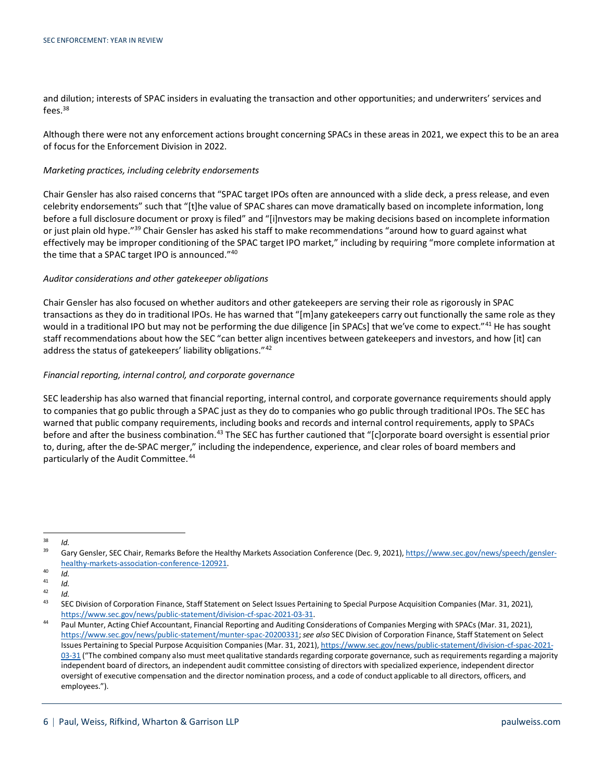and dilution; interests of SPAC insiders in evaluating the transaction and other opportunities; and underwriters' services and fees.[38](#page-5-0)

Although there were not any enforcement actions brought concerning SPACs in these areas in 2021, we expect this to be an area of focus for the Enforcement Division in 2022.

#### *Marketing practices, including celebrity endorsements*

Chair Gensler has also raised concerns that "SPAC target IPOs often are announced with a slide deck, a press release, and even celebrity endorsements" such that "[t]he value of SPAC shares can move dramatically based on incomplete information, long before a full disclosure document or proxy is filed" and "[i]nvestors may be making decisions based on incomplete information or just plain old hype."<sup>39</sup> Chair Gensler has asked his staff to make recommendations "around how to guard against what effectively may be improper conditioning of the SPAC target IPO market," including by requiring "more complete information at the time that a SPAC target IPO is announced.["40](#page-5-2)

#### *Auditor considerations and other gatekeeper obligations*

Chair Gensler has also focused on whether auditors and other gatekeepers are serving their role as rigorously in SPAC transactions as they do in traditional IPOs. He has warned that "[m]any gatekeepers carry out functionally the same role as they would in a traditional IPO but may not be performing the due diligence [in SPACs] that we've come to expect."[41](#page-5-3) He has sought staff recommendations about how the SEC "can better align incentives between gatekeepers and investors, and how [it] can address the status of gatekeepers' liability obligations."[42](#page-5-4)

#### *Financial reporting, internal control, and corporate governance*

SEC leadership has also warned that financial reporting, internal control, and corporate governance requirements should apply to companies that go public through a SPAC just as they do to companies who go public through traditional IPOs. The SEC has warned that public company requirements, including books and records and internal control requirements, apply to SPACs before and after the business combination.<sup>[43](#page-5-5)</sup> The SEC has further cautioned that "[c]orporate board oversight is essential prior to, during, after the de-SPAC merger," including the independence, experience, and clear roles of board members and particularly of the Audit Committee.<sup>[44](#page-5-6)</sup>

<span id="page-5-1"></span><span id="page-5-0"></span> $rac{38}{39}$  *Id.* 

Gary Gensler, SEC Chair, Remarks Before the Healthy Markets Association Conference (Dec. 9, 2021)[, https://www.sec.gov/news/speech/gensler](https://www.sec.gov/news/speech/gensler-healthy-markets-association-conference-120921)[healthy-markets-association-conference-120921.](https://www.sec.gov/news/speech/gensler-healthy-markets-association-conference-120921)

<span id="page-5-2"></span> $\frac{40}{41}$  *Id.* 

<span id="page-5-3"></span> $\frac{41}{42}$  *Id.* 

<span id="page-5-5"></span><span id="page-5-4"></span> $\frac{42}{43}$  *Id.* 

<sup>43</sup> SEC Division of Corporation Finance, Staff Statement on Select Issues Pertaining to Special Purpose Acquisition Companies (Mar. 31, 2021), [https://www.sec.gov/news/public-statement/division-cf-spac-2021-03-31.](https://www.sec.gov/news/public-statement/division-cf-spac-2021-03-31)

<span id="page-5-6"></span><sup>&</sup>lt;sup>44</sup> Paul Munter, Acting Chief Accountant, Financial Reporting and Auditing Considerations of Companies Merging with SPACs (Mar. 31, 2021), [https://www.sec.gov/news/public-statement/munter-spac-20200331;](https://www.sec.gov/news/public-statement/munter-spac-20200331) *see also* SEC Division of Corporation Finance, Staff Statement on Select Issues Pertaining to Special Purpose Acquisition Companies (Mar. 31, 2021)[, https://www.sec.gov/news/public-statement/division-cf-spac-2021-](https://www.sec.gov/news/public-statement/division-cf-spac-2021-03-31) [03-31](https://www.sec.gov/news/public-statement/division-cf-spac-2021-03-31) ("The combined company also must meet qualitative standards regarding corporate governance, such as requirements regarding a majority independent board of directors, an independent audit committee consisting of directors with specialized experience, independent director oversight of executive compensation and the director nomination process, and a code of conduct applicable to all directors, officers, and employees.").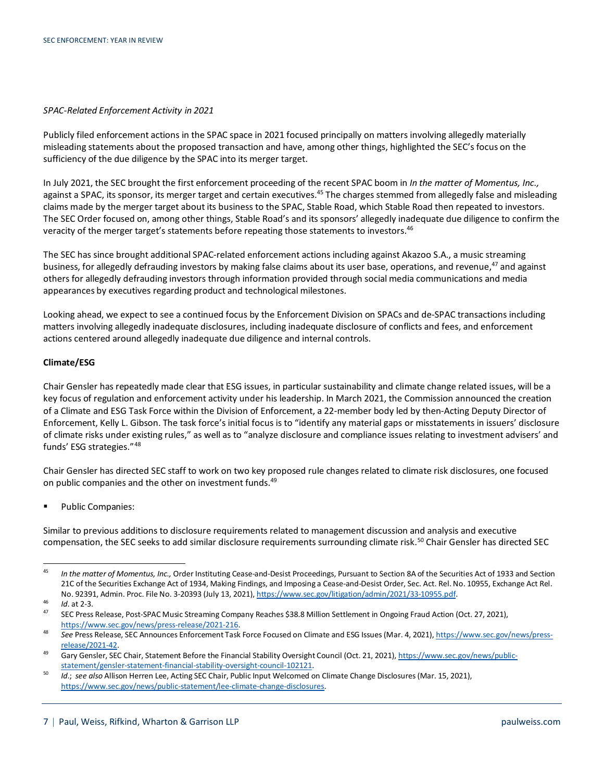#### *SPAC-Related Enforcement Activity in 2021*

Publicly filed enforcement actions in the SPAC space in 2021 focused principally on matters involving allegedly materially misleading statements about the proposed transaction and have, among other things, highlighted the SEC's focus on the sufficiency of the due diligence by the SPAC into its merger target.

In July 2021, the SEC brought the first enforcement proceeding of the recent SPAC boom in *In the matter of Momentus, Inc.,* against a SPAC, its sponsor, its merger target and certain executives.<sup>45</sup> The charges stemmed from allegedly false and misleading claims made by the merger target about its business to the SPAC, Stable Road, which Stable Road then repeated to investors. The SEC Order focused on, among other things, Stable Road's and its sponsors' allegedly inadequate due diligence to confirm the veracity of the merger target's statements before repeating those statements to investors.<sup>[46](#page-6-1)</sup>

The SEC has since brought additional SPAC-related enforcement actions including against Akazoo S.A., a music streaming business, for allegedly defrauding investors by making false claims about its user base, operations, and revenue,<sup>[47](#page-6-2)</sup> and against others for allegedly defrauding investors through information provided through social media communications and media appearances by executives regarding product and technological milestones.

Looking ahead, we expect to see a continued focus by the Enforcement Division on SPACs and de-SPAC transactions including matters involving allegedly inadequate disclosures, including inadequate disclosure of conflicts and fees, and enforcement actions centered around allegedly inadequate due diligence and internal controls.

#### **Climate/ESG**

Chair Gensler has repeatedly made clear that ESG issues, in particular sustainability and climate change related issues, will be a key focus of regulation and enforcement activity under his leadership. In March 2021, the Commission announced the creation of a Climate and ESG Task Force within the Division of Enforcement, a 22-member body led by then-Acting Deputy Director of Enforcement, Kelly L. Gibson. The task force's initial focus is to "identify any material gaps or misstatements in issuers' disclosure of climate risks under existing rules," as well as to "analyze disclosure and compliance issues relating to investment advisers' and funds' ESG strategies."[48](#page-6-3)

Chair Gensler has directed SEC staff to work on two key proposed rule changes related to climate risk disclosures, one focused on public companies and the other on investment funds.<sup>49</sup>

**Public Companies:** 

Similar to previous additions to disclosure requirements related to management discussion and analysis and executive compensation, the SEC seeks to add similar disclosure requirements surrounding climate risk.<sup>[50](#page-6-5)</sup> Chair Gensler has directed SEC

<span id="page-6-0"></span><sup>45</sup> *In the matter of Momentus, Inc.,* Order Instituting Cease-and-Desist Proceedings, Pursuant to Section 8A of the Securities Act of 1933 and Section 21C of the Securities Exchange Act of 1934, Making Findings, and Imposing a Cease-and-Desist Order, Sec. Act. Rel. No. 10955, Exchange Act Rel. No. 92391, Admin. Proc. File No. 3-20393 (July 13, 2021), [https://www.sec.gov/litigation/admin/2021/33-10955.pdf.](https://www.sec.gov/litigation/admin/2021/33-10955.pdf)

<span id="page-6-1"></span><sup>46</sup> *Id*. at 2-3.

<span id="page-6-2"></span><sup>47</sup> SEC Press Release, Post-SPAC Music Streaming Company Reaches \$38.8 Million Settlement in Ongoing Fraud Action (Oct. 27, 2021), [https://www.sec.gov/news/press-release/2021-216.](https://www.sec.gov/news/press-release/2021-216)

<span id="page-6-3"></span><sup>48</sup> *See* Press Release, SEC Announces Enforcement Task Force Focused on Climate and ESG Issues (Mar. 4, 2021)[, https://www.sec.gov/news/press](https://www.sec.gov/news/press-release/2021-42)[release/2021-42.](https://www.sec.gov/news/press-release/2021-42)

<span id="page-6-4"></span><sup>49</sup> Gary Gensler, SEC Chair, Statement Before the Financial Stability Oversight Council (Oct. 21, 2021)[, https://www.sec.gov/news/public](https://www.sec.gov/news/public-statement/gensler-statement-financial-stability-oversight-council-102121)[statement/gensler-statement-financial-stability-oversight-council-102121.](https://www.sec.gov/news/public-statement/gensler-statement-financial-stability-oversight-council-102121)

<span id="page-6-5"></span><sup>50</sup> *Id*.; *see also* Allison Herren Lee, Acting SEC Chair, Public Input Welcomed on Climate Change Disclosures (Mar. 15, 2021), [https://www.sec.gov/news/public-statement/lee-climate-change-disclosures.](https://www.sec.gov/news/public-statement/lee-climate-change-disclosures)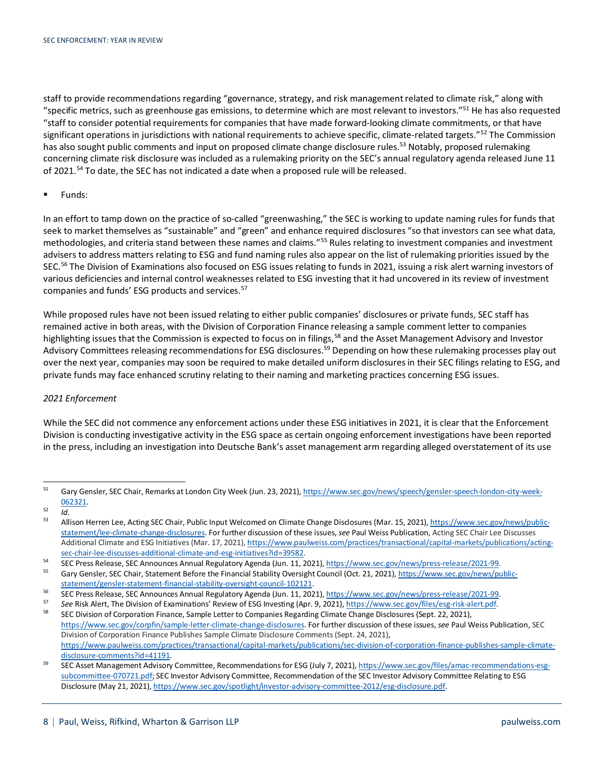staff to provide recommendations regarding "governance, strategy, and risk management related to climate risk," along with "specific metrics, such as greenhouse gas emissions, to determine which are most relevant to investors."<sup>51</sup> He has also requested "staff to consider potential requirements for companies that have made forward-looking climate commitments, or that have significant operations in jurisdictions with national requirements to achieve specific, climate-related targets."<sup>[52](#page-7-1)</sup> The Commission has also sought public comments and input on proposed climate change disclosure rules.<sup>53</sup> Notably, proposed rulemaking concerning climate risk disclosure was included as a rulemaking priority on the SEC's annual regulatory agenda released June 11 of 2021.[54](#page-7-3) To date, the SEC has not indicated a date when a proposed rule will be released.

**Funds:** 

In an effort to tamp down on the practice of so-called "greenwashing," the SEC is working to update naming rules for funds that seek to market themselves as "sustainable" and "green" and enhance required disclosures "so that investors can see what data, methodologies, and criteria stand between these names and claims."[55](#page-7-4) Rules relating to investment companies and investment advisers to address matters relating to ESG and fund naming rules also appear on the list of rulemaking priorities issued by the SEC.<sup>[56](#page-7-5)</sup> The Division of Examinations also focused on ESG issues relating to funds in 2021, issuing a risk alert warning investors of various deficiencies and internal control weaknesses related to ESG investing that it had uncovered in its review of investment companies and funds' ESG products and services.<sup>57</sup>

While proposed rules have not been issued relating to either public companies' disclosures or private funds, SEC staff has remained active in both areas, with the Division of Corporation Finance releasing a sample comment letter to companies highlighting issues that the Commission is expected to focus on in filings,<sup>[58](#page-7-7)</sup> and the Asset Management Advisory and Investor Advisory Committees releasing recommendations for ESG disclosures.<sup>59</sup> Depending on how these rulemaking processes play out over the next year, companies may soon be required to make detailed uniform disclosures in their SEC filings relating to ESG, and private funds may face enhanced scrutiny relating to their naming and marketing practices concerning ESG issues.

#### *2021 Enforcement*

While the SEC did not commence any enforcement actions under these ESG initiatives in 2021, it is clear that the Enforcement Division is conducting investigative activity in the ESG space as certain ongoing enforcement investigations have been reported in the press, including an investigation into Deutsche Bank's asset management arm regarding alleged overstatement of its use

<span id="page-7-0"></span><sup>51</sup> Gary Gensler, SEC Chair, Remarks at London City Week (Jun. 23, 2021)[, https://www.sec.gov/news/speech/gensler-speech-london-city-week-](https://www.sec.gov/news/speech/gensler-speech-london-city-week-062321)[062321.](https://www.sec.gov/news/speech/gensler-speech-london-city-week-062321)

<span id="page-7-1"></span> $\frac{52}{53}$  *Id.* 

<span id="page-7-2"></span><sup>53</sup> Allison Herren Lee, Acting SEC Chair, Public Input Welcomed on Climate Change Disclosures (Mar. 15, 2021), [https://www.sec.gov/news/public](https://www.sec.gov/news/public-statement/lee-climate-change-disclosures)[statement/lee-climate-change-disclosures.](https://www.sec.gov/news/public-statement/lee-climate-change-disclosures) For further discussion of these issues, *see* Paul Weiss Publication, Acting SEC Chair Lee Discusses Additional Climate and ESG Initiatives (Mar. 17, 2021)[, https://www.paulweiss.com/practices/transactional/capital-markets/publications/acting](https://www.paulweiss.com/practices/transactional/capital-markets/publications/acting-sec-chair-lee-discusses-additional-climate-and-esg-initiatives?id=39582)[sec-chair-lee-discusses-additional-climate-and-esg-initiatives?id=39582.](https://www.paulweiss.com/practices/transactional/capital-markets/publications/acting-sec-chair-lee-discusses-additional-climate-and-esg-initiatives?id=39582)

<span id="page-7-4"></span><span id="page-7-3"></span><sup>54</sup> SEC Press Release, SEC Announces Annual Regulatory Agenda (Jun. 11, 2021)[, https://www.sec.gov/news/press-release/2021-99.](https://www.sec.gov/news/press-release/2021-99)<br>55 Secondary SEC Chair Statement Refere the Financial Stability Quarisht Causei (Oct. 21, 2021),

Gary Gensler, SEC Chair, Statement Before the Financial Stability Oversight Council (Oct. 21, 2021)[, https://www.sec.gov/news/public](https://www.sec.gov/news/public-statement/gensler-statement-financial-stability-oversight-council-102121)[statement/gensler-statement-financial-stability-oversight-council-102121.](https://www.sec.gov/news/public-statement/gensler-statement-financial-stability-oversight-council-102121)

<span id="page-7-5"></span><sup>56</sup> SEC Press Release, SEC Announces Annual Regulatory Agenda (Jun. 11, 2021)[, https://www.sec.gov/news/press-release/2021-99.](https://www.sec.gov/news/press-release/2021-99)

<span id="page-7-7"></span><span id="page-7-6"></span><sup>57</sup> See Risk Alert, The Division of Examinations' Review of ESG Investing (Apr. 9, 2021)[, https://www.sec.gov/files/esg-risk-alert.pdf.](https://www.sec.gov/files/esg-risk-alert.pdf)<br>58 SEC Division of Corporation Finance, Semple Letter to Companies Descriting Climate C

<sup>58</sup> SEC Division of Corporation Finance, Sample Letter to Companies Regarding Climate Change Disclosures (Sept. 22, 2021), [https://www.sec.gov/corpfin/sample-letter-climate-change-disclosures.](https://www.sec.gov/corpfin/sample-letter-climate-change-disclosures) For further discussion of these issues, *see* Paul Weiss Publication, SEC Division of Corporation Finance Publishes Sample Climate Disclosure Comments (Sept. 24, 2021), [https://www.paulweiss.com/practices/transactional/capital-markets/publications/sec-division-of-corporation-finance-publishes-sample-climate](https://www.paulweiss.com/practices/transactional/capital-markets/publications/sec-division-of-corporation-finance-publishes-sample-climate-disclosure-comments?id=41191)[disclosure-comments?id=41191.](https://www.paulweiss.com/practices/transactional/capital-markets/publications/sec-division-of-corporation-finance-publishes-sample-climate-disclosure-comments?id=41191)

<span id="page-7-8"></span><sup>59</sup> SEC Asset Management Advisory Committee, Recommendations for ESG (July 7, 2021)[, https://www.sec.gov/files/amac-recommendations-esg](https://www.sec.gov/files/amac-recommendations-esg-subcommittee-070721.pdf)[subcommittee-070721.pdf;](https://www.sec.gov/files/amac-recommendations-esg-subcommittee-070721.pdf) SEC Investor Advisory Committee, Recommendation of the SEC Investor Advisory Committee Relating to ESG Disclosure (May 21, 2021)[, https://www.sec.gov/spotlight/investor-advisory-committee-2012/esg-disclosure.pdf.](https://www.sec.gov/spotlight/investor-advisory-committee-2012/esg-disclosure.pdf)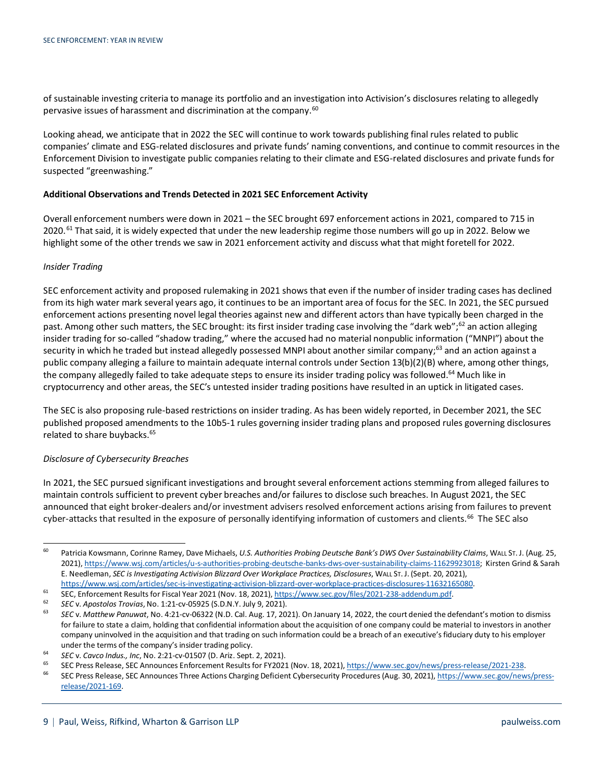of sustainable investing criteria to manage its portfolio and an investigation into Activision's disclosures relating to allegedly pervasive issues of harassment and discrimination at the company.<sup>60</sup>

Looking ahead, we anticipate that in 2022 the SEC will continue to work towards publishing final rules related to public companies' climate and ESG-related disclosures and private funds' naming conventions, and continue to commit resources in the Enforcement Division to investigate public companies relating to their climate and ESG-related disclosures and private funds for suspected "greenwashing."

#### **Additional Observations and Trends Detected in 2021 SEC Enforcement Activity**

Overall enforcement numbers were down in 2021 – the SEC brought 697 enforcement actions in 2021, compared to 715 in 2020.<sup>[61](#page-8-1)</sup> That said, it is widely expected that under the new leadership regime those numbers will go up in 2022. Below we highlight some of the other trends we saw in 2021 enforcement activity and discuss what that might foretell for 2022.

#### *Insider Trading*

SEC enforcement activity and proposed rulemaking in 2021 shows that even if the number of insider trading cases has declined from its high water mark several years ago, it continues to be an important area of focus for the SEC. In 2021, the SEC pursued enforcement actions presenting novel legal theories against new and different actors than have typically been charged in the past. Among other such matters, the SEC brought: its first insider trading case involving the "dark web";<sup>[62](#page-8-2)</sup> an action alleging insider trading for so-called "shadow trading," where the accused had no material nonpublic information ("MNPI") about the security in which he traded but instead allegedly possessed MNPI about another similar company;<sup>[63](#page-8-3)</sup> and an action against a public company alleging a failure to maintain adequate internal controls under Section 13(b)(2)(B) where, among other things, the company allegedly failed to take adequate steps to ensure its insider trading policy was followed.<sup>[64](#page-8-4)</sup> Much like in cryptocurrency and other areas, the SEC's untested insider trading positions have resulted in an uptick in litigated cases.

The SEC is also proposing rule-based restrictions on insider trading. As has been widely reported, in December 2021, the SEC published proposed amendments to the 10b5-1 rules governing insider trading plans and proposed rules governing disclosures related to share buybacks.<sup>[65](#page-8-5)</sup>

#### *Disclosure of Cybersecurity Breaches*

In 2021, the SEC pursued significant investigations and brought several enforcement actions stemming from alleged failures to maintain controls sufficient to prevent cyber breaches and/or failures to disclose such breaches. In August 2021, the SEC announced that eight broker-dealers and/or investment advisers resolved enforcement actions arising from failures to prevent cyber-attacks that resulted in the exposure of personally identifying information of customers and clients.<sup>[66](#page-8-6)</sup> The SEC also

<span id="page-8-0"></span><sup>60</sup> Patricia Kowsmann, Corinne Ramey, Dave Michaels, *U.S. Authorities Probing Deutsche Bank's DWS Over Sustainability Claims*, WALL ST. J. (Aug. 25, 2021), [https://www.wsj.com/articles/u-s-authorities-probing-deutsche-banks-dws-over-sustainability-claims-11629923018;](https://www.wsj.com/articles/u-s-authorities-probing-deutsche-banks-dws-over-sustainability-claims-11629923018) Kirsten Grind & Sarah E. Needleman, *SEC is Investigating Activision Blizzard Over Workplace Practices, Disclosures*, WALL ST. J. (Sept. 20, 2021), [https://www.wsj.com/articles/sec-is-investigating-activision-blizzard-over-workplace-practices-disclosures-11632165080.](https://www.wsj.com/articles/sec-is-investigating-activision-blizzard-over-workplace-practices-disclosures-11632165080)

<span id="page-8-1"></span><sup>61</sup> SEC, Enforcement Results for Fiscal Year 2021 (Nov. 18, 2021)[, https://www.sec.gov/files/2021-238-addendum.pdf.](https://www.sec.gov/files/2021-238-addendum.pdf)

<span id="page-8-3"></span><span id="page-8-2"></span><sup>62</sup> *SEC* v. *Apostolos Trovias*, No. 1:21-cv-05925 (S.D.N.Y. July 9, 2021).

<sup>63</sup> *SEC* v. *Matthew Panuwat*, No. 4:21-cv-06322 (N.D. Cal. Aug. 17, 2021). On January 14, 2022, the court denied the defendant's motion to dismiss for failure to state a claim, holding that confidential information about the acquisition of one company could be material to investors in another company uninvolved in the acquisition and that trading on such information could be a breach of an executive's fiduciary duty to his employer under the terms of the company's insider trading policy.

<span id="page-8-4"></span><sup>64</sup> *SEC* v. *Cavco Indus., Inc*, No. 2:21-cv-01507 (D. Ariz. Sept. 2, 2021).

<span id="page-8-5"></span><sup>&</sup>lt;sup>65</sup> SEC Press Release, SEC Announces Enforcement Results for FY2021 (Nov. 18, 2021)[, https://www.sec.gov/news/press-release/2021-238.](https://www.sec.gov/news/press-release/2021-238)<br><sup>66</sup> SEC Press Release, SEC Announces Three Actions Charging Deficient Cybersequity Pr

<span id="page-8-6"></span>SEC Press Release, SEC Announces Three Actions Charging Deficient Cybersecurity Procedures (Aug. 30, 2021)[, https://www.sec.gov/news/press](https://www.sec.gov/news/press-release/2021-169)[release/2021-169.](https://www.sec.gov/news/press-release/2021-169)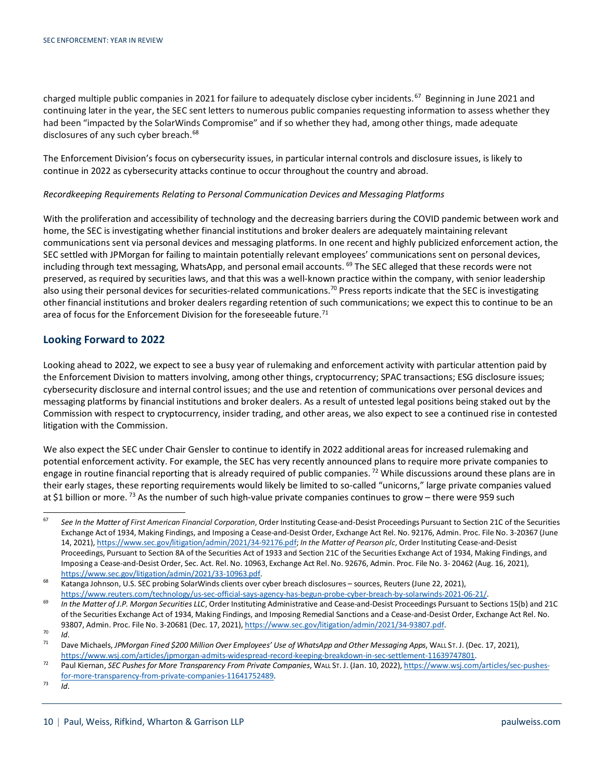charged multiple public companies in 2021 for failure to adequately disclose cyber incidents.<sup>67</sup> Beginning in June 2021 and continuing later in the year, the SEC sent letters to numerous public companies requesting information to assess whether they had been "impacted by the SolarWinds Compromise" and if so whether they had, among other things, made adequate disclosures of any such cyber breach.<sup>[68](#page-9-1)</sup>

The Enforcement Division's focus on cybersecurity issues, in particular internal controls and disclosure issues, is likely to continue in 2022 as cybersecurity attacks continue to occur throughout the country and abroad.

#### *Recordkeeping Requirements Relating to Personal Communication Devices and Messaging Platforms*

With the proliferation and accessibility of technology and the decreasing barriers during the COVID pandemic between work and home, the SEC is investigating whether financial institutions and broker dealers are adequately maintaining relevant communications sent via personal devices and messaging platforms. In one recent and highly publicized enforcement action, the SEC settled with JPMorgan for failing to maintain potentially relevant employees' communications sent on personal devices, including through text messaging, WhatsApp, and personal email accounts.  $^{69}$  $^{69}$  $^{69}$  The SEC alleged that these records were not preserved, as required by securities laws, and that this was a well-known practice within the company, with senior leadership also using their personal devices for securities-related communications.<sup>70</sup> Press reports indicate that the SEC is investigating other financial institutions and broker dealers regarding retention of such communications; we expect this to continue to be an area of focus for the Enforcement Division for the foreseeable future.<sup>[71](#page-9-4)</sup>

## **Looking Forward to 2022**

Looking ahead to 2022, we expect to see a busy year of rulemaking and enforcement activity with particular attention paid by the Enforcement Division to matters involving, among other things, cryptocurrency; SPAC transactions; ESG disclosure issues; cybersecurity disclosure and internal control issues; and the use and retention of communications over personal devices and messaging platforms by financial institutions and broker dealers. As a result of untested legal positions being staked out by the Commission with respect to cryptocurrency, insider trading, and other areas, we also expect to see a continued rise in contested litigation with the Commission.

We also expect the SEC under Chair Gensler to continue to identify in 2022 additional areas for increased rulemaking and potential enforcement activity. For example, the SEC has very recently announced plans to require more private companies to engage in routine financial reporting that is already required of public companies. <sup>[72](#page-9-5)</sup> While discussions around these plans are in their early stages, these reporting requirements would likely be limited to so-called "unicorns," large private companies valued at \$1 billion or more.<sup>[73](#page-9-6)</sup> As the number of such high-value private companies continues to grow – there were 959 such

<span id="page-9-0"></span><sup>67</sup> *See In the Matter of First American Financial Corporation*, Order Instituting Cease-and-Desist Proceedings Pursuant to Section 21C of the Securities Exchange Act of 1934, Making Findings, and Imposing a Cease-and-Desist Order, Exchange Act Rel. No. 92176, Admin. Proc. File No. 3-20367 (June 14, 2021), [https://www.sec.gov/litigation/admin/2021/34-92176.pdf;](https://www.sec.gov/litigation/admin/2021/34-92176.pdf) *In the Matter of Pearson plc*, Order Instituting Cease-and-Desist Proceedings, Pursuant to Section 8A of the Securities Act of 1933 and Section 21C of the Securities Exchange Act of 1934, Making Findings, and Imposing a Cease-and-Desist Order, Sec. Act. Rel. No. 10963, Exchange Act Rel. No. 92676, Admin. Proc. File No. 3- 20462 (Aug. 16, 2021), [https://www.sec.gov/litigation/admin/2021/33-10963.pdf.](https://www.sec.gov/litigation/admin/2021/33-10963.pdf)

<span id="page-9-1"></span><sup>68</sup> Katanga Johnson, U.S. SEC probing SolarWinds clients over cyber breach disclosures – sources, Reuters (June 22, 2021), [https://www.reuters.com/technology/us-sec-official-says-agency-has-begun-probe-cyber-breach-by-solarwinds-2021-06-21/.](https://www.reuters.com/technology/us-sec-official-says-agency-has-begun-probe-cyber-breach-by-solarwinds-2021-06-21/)

<span id="page-9-2"></span>From Temperature Construction Construction Construction Constituting Administrative and Cease-and-Desist Proceedings Pursuant to Sections 15(b) and 21C of the Securities Exchange Act of 1934, Making Findings, and Imposing Remedial Sanctions and a Cease-and-Desist Order, Exchange Act Rel. No. 93807, Admin. Proc. File No. 3-20681 (Dec. 17, 2021)[, https://www.sec.gov/litigation/admin/2021/34-93807.pdf.](https://www.sec.gov/litigation/admin/2021/34-93807.pdf)

<span id="page-9-3"></span> $\frac{70}{71}$  *Id.* 

<span id="page-9-4"></span><sup>71</sup> Dave Michaels, *JPMorgan Fined \$200 Million Over Employees' Use of WhatsApp and Other Messaging Apps*, WALL ST. J. (Dec. 17, 2021), [https://www.wsj.com/articles/jpmorgan-admits-widespread-record-keeping-breakdown-in-sec-settlement-11639747801.](https://www.wsj.com/articles/jpmorgan-admits-widespread-record-keeping-breakdown-in-sec-settlement-11639747801)

<span id="page-9-5"></span><sup>72</sup> Paul Kiernan, *SEC Pushes for More Transparency From Private Companies*, WALL ST. J. (Jan. 10, 2022), [https://www.wsj.com/articles/sec-pushes](https://www.wsj.com/articles/sec-pushes-for-more-transparency-from-private-companies-11641752489)[for-more-transparency-from-private-companies-11641752489.](https://www.wsj.com/articles/sec-pushes-for-more-transparency-from-private-companies-11641752489)

<span id="page-9-6"></span> $73$  *Id.*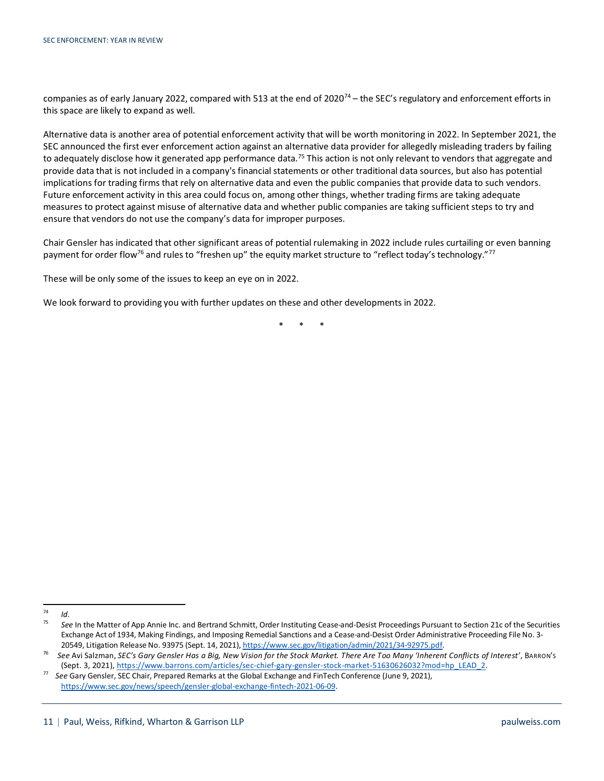companies as of early January 2022, compared with 513 at the end of 2020<sup>[74](#page-10-0)</sup> – the SEC's regulatory and enforcement efforts in this space are likely to expand as well.

Alternative data is another area of potential enforcement activity that will be worth monitoring in 2022. In September 2021, the SEC announced the first ever enforcement action against an alternative data provider for allegedly misleading traders by failing to adequately disclose how it generated app performance data.<sup>75</sup> This action is not only relevant to vendors that aggregate and provide data that is not included in a company's financial statements or other traditional data sources, but also has potential implications for trading firms that rely on alternative data and even the public companies that provide data to such vendors. Future enforcement activity in this area could focus on, among other things, whether trading firms are taking adequate measures to protect against misuse of alternative data and whether public companies are taking sufficient steps to try and ensure that vendors do not use the company's data for improper purposes.

Chair Gensler has indicated that other significant areas of potential rulemaking in 2022 include rules curtailing or even banning payment for order flow<sup>76</sup> and rules to "freshen up" the equity market structure to "reflect today's technology."<sup>[77](#page-10-3)</sup>

These will be only some of the issues to keep an eye on in 2022.

We look forward to providing you with further updates on these and other developments in 2022.

\* \* \*

<span id="page-10-0"></span> $\frac{74}{75}$  *Id.* 

<span id="page-10-1"></span><sup>75</sup> *See* In the Matter of App Annie Inc. and Bertrand Schmitt, Order Instituting Cease-and-Desist Proceedings Pursuant to Section 21c of the Securities Exchange Act of 1934, Making Findings, and Imposing Remedial Sanctions and a Cease-and-Desist Order Administrative Proceeding File No. 3- 20549, Litigation Release No. 93975 (Sept. 14, 2021)[, https://www.sec.gov/litigation/admin/2021/34-92975.pdf.](https://www.sec.gov/litigation/admin/2021/34-92975.pdf)

<span id="page-10-2"></span><sup>76</sup> *See* Avi Salzman, *SEC's Gary Gensler Has a Big, New Vision for the Stock Market. There Are Too Many 'Inherent Conflicts of Interest'*, BARRON'S (Sept. 3, 2021), [https://www.barrons.com/articles/sec-chief-gary-gensler-stock-market-51630626032?mod=hp\\_LEAD\\_2.](https://www.barrons.com/articles/sec-chief-gary-gensler-stock-market-51630626032?mod=hp_LEAD_2)

<span id="page-10-3"></span><sup>77</sup> *See* Gary Gensler, SEC Chair, Prepared Remarks at the Global Exchange and FinTech Conference (June 9, 2021), [https://www.sec.gov/news/speech/gensler-global-exchange-fintech-2021-06-09.](https://www.sec.gov/news/speech/gensler-global-exchange-fintech-2021-06-09)